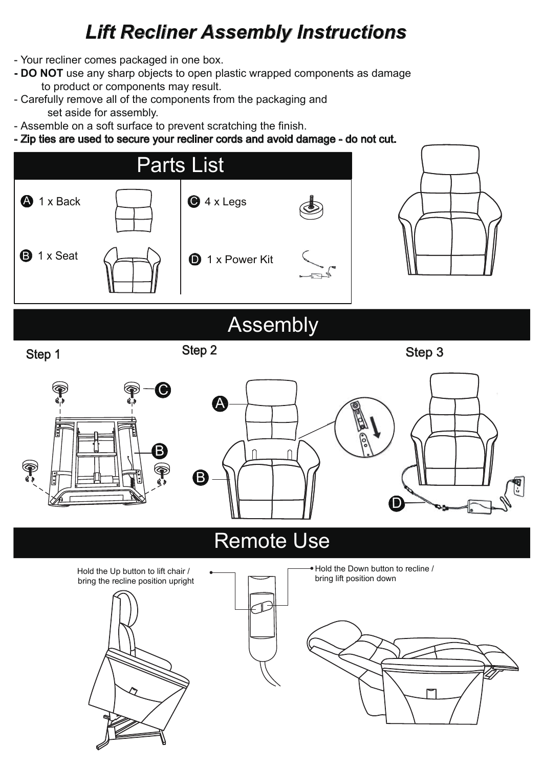### *Lift Recliner Assembly Instructions*

- Your recliner comes packaged in one box.
- **DO NOT** use any sharp objects to open plastic wrapped components as damage to product or components may result.
- Carefully remove all of the components from the packaging and set aside for assembly.
- Assemble on a soft surface to prevent scratching the finish.
- Zip ties are used to secure your recliner cords and avoid damage do not cut.



# **Assembly**

Step 1

Step 2

Step 3



## Remote Use

bring lift position down Hold the Up button to lift chair / bring the recline position upright





Hold the Down button to recline /